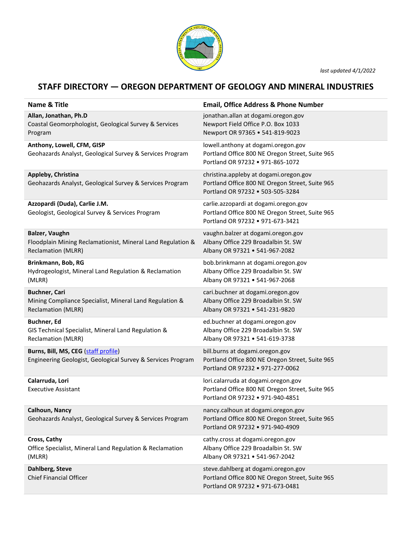

*last updated 4/1/2022*

## **STAFF DIRECTORY — OREGON DEPARTMENT OF GEOLOGY AND MINERAL INDUSTRIES**

| Name & Title                                                                                                 | <b>Email, Office Address &amp; Phone Number</b>                                                                               |
|--------------------------------------------------------------------------------------------------------------|-------------------------------------------------------------------------------------------------------------------------------|
| Allan, Jonathan, Ph.D<br>Coastal Geomorphologist, Geological Survey & Services<br>Program                    | jonathan.allan at dogami.oregon.gov<br>Newport Field Office P.O. Box 1033<br>Newport OR 97365 . 541-819-9023                  |
| Anthony, Lowell, CFM, GISP<br>Geohazards Analyst, Geological Survey & Services Program                       | lowell.anthony at dogami.oregon.gov<br>Portland Office 800 NE Oregon Street, Suite 965<br>Portland OR 97232 . 971-865-1072    |
| Appleby, Christina<br>Geohazards Analyst, Geological Survey & Services Program                               | christina.appleby at dogami.oregon.gov<br>Portland Office 800 NE Oregon Street, Suite 965<br>Portland OR 97232 . 503-505-3284 |
| Azzopardi (Duda), Carlie J.M.<br>Geologist, Geological Survey & Services Program                             | carlie.azzopardi at dogami.oregon.gov<br>Portland Office 800 NE Oregon Street, Suite 965<br>Portland OR 97232 . 971-673-3421  |
| Balzer, Vaughn<br>Floodplain Mining Reclamationist, Mineral Land Regulation &<br><b>Reclamation (MLRR)</b>   | vaughn.balzer at dogami.oregon.gov<br>Albany Office 229 Broadalbin St. SW<br>Albany OR 97321 . 541-967-2082                   |
| Brinkmann, Bob, RG<br>Hydrogeologist, Mineral Land Regulation & Reclamation<br>(MLRR)                        | bob.brinkmann at dogami.oregon.gov<br>Albany Office 229 Broadalbin St. SW<br>Albany OR 97321 . 541-967-2068                   |
| <b>Buchner, Cari</b><br>Mining Compliance Specialist, Mineral Land Regulation &<br><b>Reclamation (MLRR)</b> | cari.buchner at dogami.oregon.gov<br>Albany Office 229 Broadalbin St. SW<br>Albany OR 97321 . 541-231-9820                    |
| <b>Buchner, Ed</b><br>GIS Technical Specialist, Mineral Land Regulation &<br><b>Reclamation (MLRR)</b>       | ed.buchner at dogami.oregon.gov<br>Albany Office 229 Broadalbin St. SW<br>Albany OR 97321 . 541-619-3738                      |
| Burns, Bill, MS, CEG (staff profile)<br>Engineering Geologist, Geological Survey & Services Program          | bill.burns at dogami.oregon.gov<br>Portland Office 800 NE Oregon Street, Suite 965<br>Portland OR 97232 . 971-277-0062        |
| Calarruda, Lori<br><b>Executive Assistant</b>                                                                | lori.calarruda at dogami.oregon.gov<br>Portland Office 800 NE Oregon Street, Suite 965<br>Portland OR 97232 • 971-940-4851    |
| Calhoun, Nancy<br>Geohazards Analyst, Geological Survey & Services Program                                   | nancy.calhoun at dogami.oregon.gov<br>Portland Office 800 NE Oregon Street, Suite 965<br>Portland OR 97232 . 971-940-4909     |
| Cross, Cathy<br>Office Specialist, Mineral Land Regulation & Reclamation<br>(MLRR)                           | cathy.cross at dogami.oregon.gov<br>Albany Office 229 Broadalbin St. SW<br>Albany OR 97321 . 541-967-2042                     |
| Dahlberg, Steve<br><b>Chief Financial Officer</b>                                                            | steve.dahlberg at dogami.oregon.gov<br>Portland Office 800 NE Oregon Street, Suite 965<br>Portland OR 97232 . 971-673-0481    |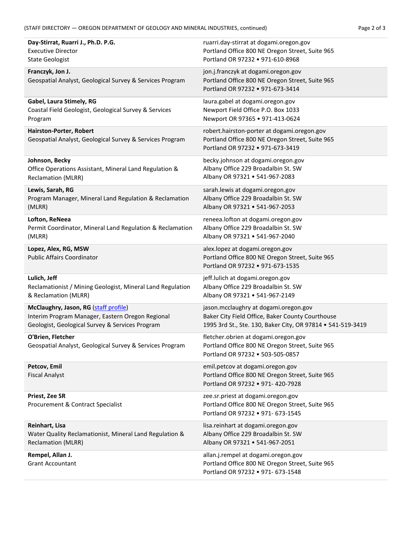| Day-Stirrat, Ruarri J., Ph.D. P.G.                                                  | ruarri.day-stirrat at dogami.oregon.gov                                                                                            |
|-------------------------------------------------------------------------------------|------------------------------------------------------------------------------------------------------------------------------------|
| <b>Executive Director</b>                                                           | Portland Office 800 NE Oregon Street, Suite 965                                                                                    |
| <b>State Geologist</b>                                                              | Portland OR 97232 . 971-610-8968                                                                                                   |
| Franczyk, Jon J.<br>Geospatial Analyst, Geological Survey & Services Program        | jon.j.franczyk at dogami.oregon.gov<br>Portland Office 800 NE Oregon Street, Suite 965<br>Portland OR 97232 . 971-673-3414         |
| Gabel, Laura Stimely, RG                                                            | laura.gabel at dogami.oregon.gov                                                                                                   |
| Coastal Field Geologist, Geological Survey & Services                               | Newport Field Office P.O. Box 1033                                                                                                 |
| Program                                                                             | Newport OR 97365 . 971-413-0624                                                                                                    |
| Hairston-Porter, Robert<br>Geospatial Analyst, Geological Survey & Services Program | robert.hairston-porter at dogami.oregon.gov<br>Portland Office 800 NE Oregon Street, Suite 965<br>Portland OR 97232 . 971-673-3419 |
| Johnson, Becky                                                                      | becky.johnson at dogami.oregon.gov                                                                                                 |
| Office Operations Assistant, Mineral Land Regulation &                              | Albany Office 229 Broadalbin St. SW                                                                                                |
| <b>Reclamation (MLRR)</b>                                                           | Albany OR 97321 . 541-967-2083                                                                                                     |
| Lewis, Sarah, RG                                                                    | sarah.lewis at dogami.oregon.gov                                                                                                   |
| Program Manager, Mineral Land Regulation & Reclamation                              | Albany Office 229 Broadalbin St. SW                                                                                                |
| (MLRR)                                                                              | Albany OR 97321 . 541-967-2053                                                                                                     |
| Lofton, ReNeea                                                                      | reneea.lofton at dogami.oregon.gov                                                                                                 |
| Permit Coordinator, Mineral Land Regulation & Reclamation                           | Albany Office 229 Broadalbin St. SW                                                                                                |
| (MLRR)                                                                              | Albany OR 97321 . 541-967-2040                                                                                                     |
| Lopez, Alex, RG, MSW<br><b>Public Affairs Coordinator</b>                           | alex.lopez at dogami.oregon.gov<br>Portland Office 800 NE Oregon Street, Suite 965<br>Portland OR 97232 . 971-673-1535             |
| Lulich, Jeff                                                                        | jeff.lulich at dogami.oregon.gov                                                                                                   |
| Reclamationist / Mining Geologist, Mineral Land Regulation                          | Albany Office 229 Broadalbin St. SW                                                                                                |
| & Reclamation (MLRR)                                                                | Albany OR 97321 . 541-967-2149                                                                                                     |
| McClaughry, Jason, RG (staff profile)                                               | jason.mcclaughry at dogami.oregon.gov                                                                                              |
| Interim Program Manager, Eastern Oregon Regional                                    | Baker City Field Office, Baker County Courthouse                                                                                   |
| Geologist, Geological Survey & Services Program                                     | 1995 3rd St., Ste. 130, Baker City, OR 97814 . 541-519-3419                                                                        |
| O'Brien, Fletcher<br>Geospatial Analyst, Geological Survey & Services Program       | fletcher.obrien at dogami.oregon.gov<br>Portland Office 800 NE Oregon Street, Suite 965<br>Portland OR 97232 . 503-505-0857        |
| Petcov, Emil<br><b>Fiscal Analyst</b>                                               | emil.petcov at dogami.oregon.gov<br>Portland Office 800 NE Oregon Street, Suite 965<br>Portland OR 97232 . 971- 420-7928           |
| <b>Priest, Zee SR</b><br>Procurement & Contract Specialist                          | zee.sr.priest at dogami.oregon.gov<br>Portland Office 800 NE Oregon Street, Suite 965<br>Portland OR 97232 . 971- 673-1545         |
| Reinhart, Lisa                                                                      | lisa.reinhart at dogami.oregon.gov                                                                                                 |
| Water Quality Reclamationist, Mineral Land Regulation &                             | Albany Office 229 Broadalbin St. SW                                                                                                |
| <b>Reclamation (MLRR)</b>                                                           | Albany OR 97321 . 541-967-2051                                                                                                     |
| Rempel, Allan J.<br><b>Grant Accountant</b>                                         | allan.j.rempel at dogami.oregon.gov<br>Portland Office 800 NE Oregon Street, Suite 965<br>Portland OR 97232 . 971- 673-1548        |